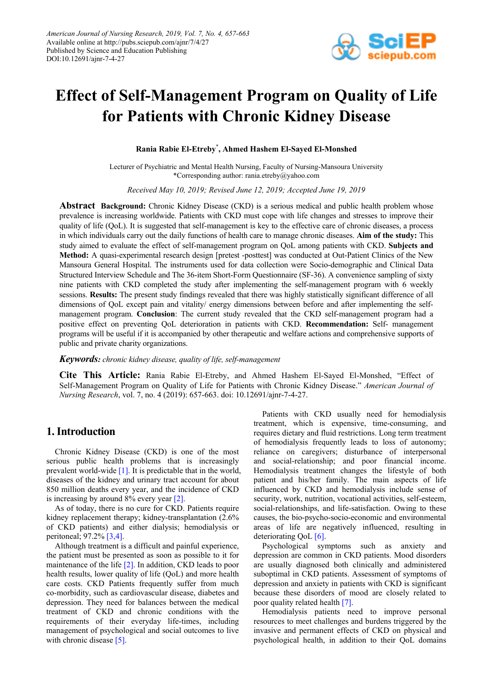

# **Effect of Self-Management Program on Quality of Life for Patients with Chronic Kidney Disease**

**Rania Rabie El-Etreby\* , Ahmed Hashem El-Sayed El-Monshed**

Lecturer of Psychiatric and Mental Health Nursing, Faculty of Nursing-Mansoura University \*Corresponding author: rania.etreby@yahoo.com

*Received May 10, 2019; Revised June 12, 2019; Accepted June 19, 2019*

**Abstract Background:** Chronic Kidney Disease (CKD) is a serious medical and public health problem whose prevalence is increasing worldwide. Patients with CKD must cope with life changes and stresses to improve their quality of life (QoL). It is suggested that self-management is key to the effective care of chronic diseases, a process in which individuals carry out the daily functions of health care to manage chronic diseases. **Aim of the study:** This study aimed to evaluate the effect of self-management program on QoL among patients with CKD. **Subjects and Method:** A quasi-experimental research design [pretest -posttest] was conducted at Out-Patient Clinics of the New Mansoura General Hospital. The instruments used for data collection were Socio-demographic and Clinical Data Structured Interview Schedule and The 36-item Short-Form Questionnaire (SF-36). A convenience sampling of sixty nine patients with CKD completed the study after implementing the self-management program with 6 weekly sessions. **Results:** The present study findings revealed that there was highly statistically significant difference of all dimensions of QoL except pain and vitality/ energy dimensions between before and after implementing the selfmanagement program. **Conclusion**: The current study revealed that the CKD self-management program had a positive effect on preventing QoL deterioration in patients with CKD. **Recommendation:** Self- management programs will be useful if it is accompanied by other therapeutic and welfare actions and comprehensive supports of public and private charity organizations.

*Keywords: chronic kidney disease, quality of life, self-management*

**Cite This Article:** Rania Rabie El-Etreby, and Ahmed Hashem El-Sayed El-Monshed, "Effect of Self-Management Program on Quality of Life for Patients with Chronic Kidney Disease." *American Journal of Nursing Research*, vol. 7, no. 4 (2019): 657-663. doi: 10.12691/ajnr-7-4-27.

## **1. Introduction**

Chronic Kidney Disease (CKD) is one of the most serious public health problems that is increasingly prevalent world-wide [\[1\].](#page-6-0) It is predictable that in the world, diseases of the kidney and urinary tract account for about 850 million deaths every year, and the incidence of CKD is increasing by around 8% every yea[r \[2\].](#page-6-1)

As of today, there is no cure for CKD. Patients require kidney replacement therapy; kidney-transplantation (2.6% of CKD patients) and either dialysis; hemodialysis or peritoneal; 97.2% [\[3,4\].](#page-6-2)

Although treatment is a difficult and painful experience, the patient must be presented as soon as possible to it for maintenance of the life [\[2\].](#page-6-1) In addition, CKD leads to poor health results, lower quality of life (QoL) and more health care costs. CKD Patients frequently suffer from much co-morbidity, such as cardiovascular disease, diabetes and depression. They need for balances between the medical treatment of CKD and chronic conditions with the requirements of their everyday life-times, including management of psychological and social outcomes to live with chronic disease [\[5\].](#page-6-3)

Patients with CKD usually need for hemodialysis treatment, which is expensive, time-consuming, and requires dietary and fluid restrictions. Long term treatment of hemodialysis frequently leads to loss of autonomy; reliance on caregivers; disturbance of interpersonal and social-relationship; and poor financial income. Hemodialysis treatment changes the lifestyle of both patient and his/her family. The main aspects of life influenced by CKD and hemodialysis include sense of security, work, nutrition, vocational activities, self-esteem, social-relationships, and life-satisfaction. Owing to these causes, the bio-psycho-socio-economic and environmental areas of life are negatively influenced, resulting in deteriorating Qo[L \[6\].](#page-6-4)

Psychological symptoms such as anxiety and depression are common in CKD patients. Mood disorders are usually diagnosed both clinically and administered suboptimal in CKD patients. Assessment of symptoms of depression and anxiety in patients with CKD is significant because these disorders of mood are closely related to poor quality related health [\[7\].](#page-6-5)

Hemodialysis patients need to improve personal resources to meet challenges and burdens triggered by the invasive and permanent effects of CKD on physical and psychological health, in addition to their QoL domains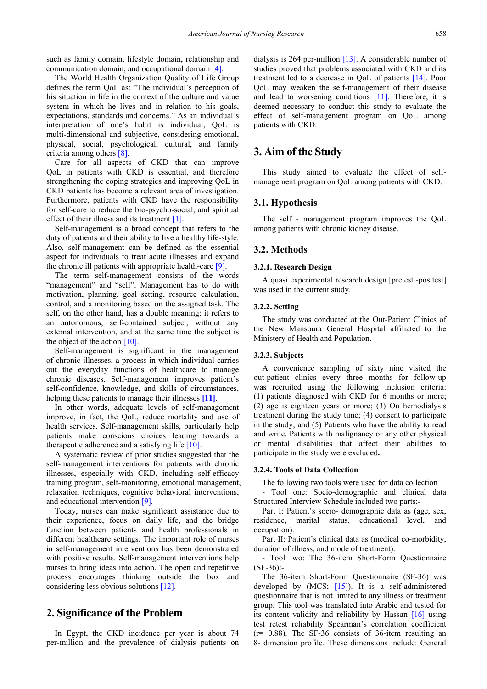such as family domain, lifestyle domain, relationship and communication domain, and occupational domain [\[4\].](#page-6-6)

The World Health Organization Quality of Life Group defines the term QoL as: "The individual's perception of his situation in life in the context of the culture and value system in which he lives and in relation to his goals, expectations, standards and concerns." As an individual's interpretation of one's habit is individual, QoL is multi-dimensional and subjective, considering emotional, physical, social, psychological, cultural, and family criteria among others [\[8\].](#page-6-7)

Care for all aspects of CKD that can improve QoL in patients with CKD is essential, and therefore strengthening the coping strategies and improving QoL in CKD patients has become a relevant area of investigation. Furthermore, patients with CKD have the responsibility for self-care to reduce the bio-psycho-social, and spiritual effect of their illness and its treatment [\[1\].](#page-6-0)

Self-management is a broad concept that refers to the duty of patients and their ability to live a healthy life-style. Also, self-management can be defined as the essential aspect for individuals to treat acute illnesses and expand the chronic ill patients with appropriate health-care [\[9\].](#page-6-8)

The term self-management consists of the words "management" and "self". Management has to do with motivation, planning, goal setting, resource calculation, control, and a monitoring based on the assigned task. The self, on the other hand, has a double meaning: it refers to an autonomous, self-contained subject, without any external intervention, and at the same time the subject is the object of the action  $[10]$ .

Self-management is significant in the management of chronic illnesses, a process in which individual carries out the everyday functions of healthcare to manage chronic diseases. Self-management improves patient's self-confidence, knowledge, and skills of circumstances, helping these patients to manage their illnesses **[\[11\]](#page-6-10)**.

In other words, adequate levels of self-management improve, in fact, the QoL, reduce mortality and use of health services. Self-management skills, particularly help patients make conscious choices leading towards a therapeutic adherence and a satisfying lif[e \[10\].](#page-6-9)

A systematic review of prior studies suggested that the self-management interventions for patients with chronic illnesses, especially with CKD, including self-efficacy training program, self-monitoring, emotional management, relaxation techniques, cognitive behavioral interventions, and educational intervention [\[9\].](#page-6-8)

Today, nurses can make significant assistance due to their experience, focus on daily life, and the bridge function between patients and health professionals in different healthcare settings. The important role of nurses in self-management interventions has been demonstrated with positive results. Self-management interventions help nurses to bring ideas into action. The open and repetitive process encourages thinking outside the box and considering less obvious solutions [\[12\].](#page-6-11)

# **2. Significance of the Problem**

In Egypt, the CKD incidence per year is about 74 per-million and the prevalence of dialysis patients on dialysis is 264 per-million [\[13\].](#page-6-12) A considerable number of studies proved that problems associated with CKD and its treatment led to a decrease in QoL of patients [\[14\].](#page-6-13) Poor QoL may weaken the self-management of their disease and lead to worsening conditions [\[11\].](#page-6-10) Therefore, it is deemed necessary to conduct this study to evaluate the effect of self-management program on QoL among patients with CKD.

# **3. Aim of the Study**

This study aimed to evaluate the effect of selfmanagement program on QoL among patients with CKD.

## **3.1. Hypothesis**

The self - management program improves the QoL among patients with chronic kidney disease.

### **3.2. Methods**

#### **3.2.1. Research Design**

A quasi experimental research design [pretest -posttest] was used in the current study.

#### **3.2.2. Setting**

The study was conducted at the Out-Patient Clinics of the New Mansoura General Hospital affiliated to the Ministery of Health and Population.

#### **3.2.3. Subjects**

A convenience sampling of sixty nine visited the out-patient clinics every three months for follow-up was recruited using the following inclusion criteria: (1) patients diagnosed with CKD for 6 months or more; (2) age is eighteen years or more; (3) On hemodialysis treatment during the study time; (4) consent to participate in the study; and (5) Patients who have the ability to read and write. Patients with malignancy or any other physical or mental disabilities that affect their abilities to participate in the study were excluded**.**

#### **3.2.4. Tools of Data Collection**

The following two tools were used for data collection

- Tool one: Socio-demographic and clinical data Structured Interview Schedule included two parts:-

Part I: Patient's socio- demographic data as (age, sex, residence, marital status, educational level, and occupation).

Part II: Patient's clinical data as (medical co-morbidity, duration of illness, and mode of treatment).

- Tool two: The 36-item Short-Form Questionnaire  $(SF-36)$ :-

The 36-item Short-Form Questionnaire (SF-36) was developed by (MCS; [\[15\]\)](#page-6-14). It is a self-administered questionnaire that is not limited to any illness or treatment group. This tool was translated into Arabic and tested for its content validity and reliability by Hassan [\[16\]](#page-6-15) using test retest reliability Spearman's correlation coefficient  $(r= 0.88)$ . The SF-36 consists of 36-item resulting an 8- dimension profile. These dimensions include: General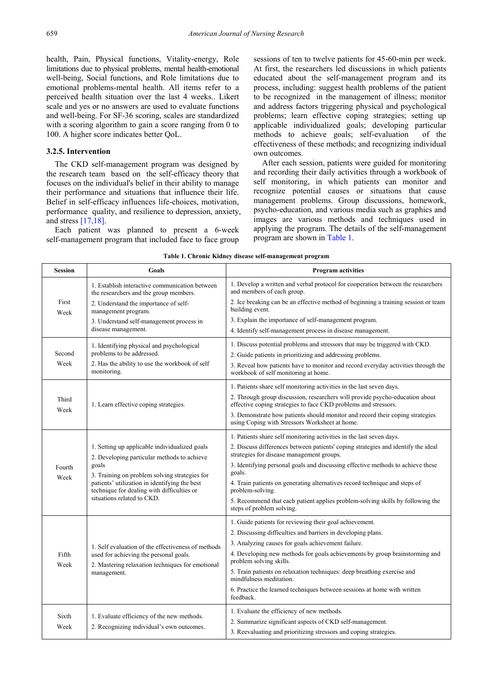health, Pain, Physical functions, Vitality-energy, Role limitations due to physical problems, mental health-emotional well-being, Social functions, and Role limitations due to emotional problems-mental health. All items refer to a perceived health situation over the last 4 weeks.. Likert scale and yes or no answers are used to evaluate functions and well-being. For SF-36 scoring, scales are standardized with a scoring algorithm to gain a score ranging from 0 to 100. A higher score indicates better QoL.

#### **3.2.5. Intervention**

The CKD self-management program was designed by the research team based on the self-efficacy theory that focuses on the individual's belief in their ability to manage their performance and situations that influence their life. Belief in self-efficacy influences life-choices, motivation, performance quality, and resilience to depression, anxiety, and stress [\[17,18\].](#page-6-16) 

Each patient was planned to present a 6-week self-management program that included face to face group

sessions of ten to twelve patients for 45-60-min per week. At first, the researchers led discussions in which patients educated about the self-management program and its process, including: suggest health problems of the patient to be recognized in the management of illness; monitor and address factors triggering physical and psychological problems; learn effective coping strategies; setting up applicable individualized goals; developing particular methods to achieve goals; self-evaluation of the effectiveness of these methods; and recognizing individual own outcomes.

After each session, patients were guided for monitoring and recording their daily activities through a workbook of self monitoring, in which patients can monitor and recognize potential causes or situations that cause management problems. Group discussions, homework, psycho-education, and various media such as graphics and images are various methods and techniques used in applying the program. The details of the self-management program are shown in [Table 1.](#page-2-0)

<span id="page-2-0"></span>

| <b>Session</b> | Goals                                                                                                                                                                                                                                                                               | <b>Program activities</b>                                                                                                                       |  |  |
|----------------|-------------------------------------------------------------------------------------------------------------------------------------------------------------------------------------------------------------------------------------------------------------------------------------|-------------------------------------------------------------------------------------------------------------------------------------------------|--|--|
| First<br>Week  | 1. Establish interactive communication between<br>the researchers and the group members.                                                                                                                                                                                            | 1. Develop a written and verbal protocol for cooperation between the researchers<br>and members of each group.                                  |  |  |
|                | 2. Understand the importance of self-<br>management program.                                                                                                                                                                                                                        | 2. Ice breaking can be an effective method of beginning a training session or team<br>building event.                                           |  |  |
|                | 3. Understand self-management process in                                                                                                                                                                                                                                            | 3. Explain the importance of self-management program.                                                                                           |  |  |
|                | disease management.                                                                                                                                                                                                                                                                 | 4. Identify self-management process in disease management.                                                                                      |  |  |
| Second<br>Week | 1. Identifying physical and psychological                                                                                                                                                                                                                                           | 1. Discuss potential problems and stressors that may be triggered with CKD.                                                                     |  |  |
|                | problems to be addressed.                                                                                                                                                                                                                                                           | 2. Guide patients in prioritizing and addressing problems.                                                                                      |  |  |
|                | 2. Has the ability to use the workbook of self<br>monitoring.                                                                                                                                                                                                                       | 3. Reveal how patients have to monitor and record everyday activities through the<br>workbook of self monitoring at home.                       |  |  |
|                | 1. Learn effective coping strategies.                                                                                                                                                                                                                                               | 1. Patients share self monitoring activities in the last seven days.                                                                            |  |  |
| Third<br>Week  |                                                                                                                                                                                                                                                                                     | 2. Through group discussion, researchers will provide psycho-education about<br>effective coping strategies to face CKD problems and stressors. |  |  |
|                |                                                                                                                                                                                                                                                                                     | 3. Demonstrate how patients should monitor and record their coping strategies<br>using Coping with Stressors Worksheet at home.                 |  |  |
| Fourth<br>Week | 1. Setting up applicable individualized goals<br>2. Developing particular methods to achieve<br>goals<br>3. Training on problem solving strategies for<br>patients' utilization in identifying the best<br>technique for dealing with difficulties or<br>situations related to CKD. | 1. Patients share self monitoring activities in the last seven days.                                                                            |  |  |
|                |                                                                                                                                                                                                                                                                                     | 2. Discuss differences between patients' coping strategies and identify the ideal<br>strategies for disease management groups.                  |  |  |
|                |                                                                                                                                                                                                                                                                                     | 3. Identifying personal goals and discussing effective methods to achieve these<br>goals.                                                       |  |  |
|                |                                                                                                                                                                                                                                                                                     | 4. Train patients on generating alternatives record technique and steps of<br>problem-solving.                                                  |  |  |
|                |                                                                                                                                                                                                                                                                                     | 5. Recommend that each patient applies problem-solving skills by following the<br>steps of problem solving.                                     |  |  |
|                | 1. Self evaluation of the effectiveness of methods<br>used for achieving the personal goals.<br>2. Mastering relaxation techniques for emotional<br>management.                                                                                                                     | 1. Guide patients for reviewing their goal achievement.                                                                                         |  |  |
|                |                                                                                                                                                                                                                                                                                     | 2. Discussing difficulties and barriers in developing plans.                                                                                    |  |  |
|                |                                                                                                                                                                                                                                                                                     | 3. Analyzing causes for goals achievement failure.                                                                                              |  |  |
| Fifth<br>Week  |                                                                                                                                                                                                                                                                                     | 4. Developing new methods for goals achievements by group brainstorming and<br>problem solving skills.                                          |  |  |
|                |                                                                                                                                                                                                                                                                                     | 5. Train patients on relaxation techniques: deep breathing exercise and<br>mindfulness meditation.                                              |  |  |
|                |                                                                                                                                                                                                                                                                                     | 6. Practice the learned techniques between sessions at home with written<br>feedback.                                                           |  |  |
|                | 1. Evaluate efficiency of the new methods.<br>2. Recognizing individual's own outcomes.                                                                                                                                                                                             | 1. Evaluate the efficiency of new methods.                                                                                                      |  |  |
| Sixth<br>Week  |                                                                                                                                                                                                                                                                                     | 2. Summarize significant aspects of CKD self-management.                                                                                        |  |  |
|                |                                                                                                                                                                                                                                                                                     | 3. Reevaluating and prioritizing stressors and coping strategies.                                                                               |  |  |

**Table 1. Chronic Kidney disease self-management program**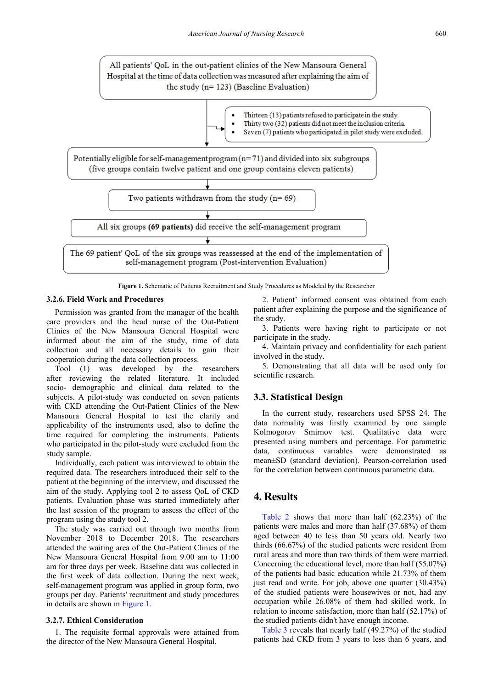<span id="page-3-0"></span>

**Figure 1.** Schematic of Patients Recruitment and Study Procedures as Modeled by the Researcher

## **3.2.6. Field Work and Procedures**

Permission was granted from the manager of the health care providers and the head nurse of the Out-Patient Clinics of the New Mansoura General Hospital were informed about the aim of the study, time of data collection and all necessary details to gain their cooperation during the data collection process.

Tool (1) was developed by the researchers after reviewing the related literature. It included socio- demographic and clinical data related to the subjects. A pilot-study was conducted on seven patients with CKD attending the Out-Patient Clinics of the New Mansoura General Hospital to test the clarity and applicability of the instruments used, also to define the time required for completing the instruments. Patients who participated in the pilot-study were excluded from the study sample.

Individually, each patient was interviewed to obtain the required data. The researchers introduced their self to the patient at the beginning of the interview, and discussed the aim of the study. Applying tool 2 to assess QoL of CKD patients. Evaluation phase was started immediately after the last session of the program to assess the effect of the program using the study tool 2.

The study was carried out through two months from November 2018 to December 2018. The researchers attended the waiting area of the Out-Patient Clinics of the New Mansoura General Hospital from 9.00 am to 11:00 am for three days per week. Baseline data was collected in the first week of data collection. During the next week, self-management program was applied in group form, two groups per day. Patients' recruitment and study procedures in details are shown in [Figure 1.](#page-3-0)

#### **3.2.7. Ethical Consideration**

1. The requisite formal approvals were attained from the director of the New Mansoura General Hospital.

2. Patient' informed consent was obtained from each patient after explaining the purpose and the significance of the study.

3. Patients were having right to participate or not participate in the study.

4. Maintain privacy and confidentiality for each patient involved in the study.

5. Demonstrating that all data will be used only for scientific research.

### **3.3. Statistical Design**

In the current study, researchers used SPSS 24. The data normality was firstly examined by one sample Kolmogorov Smirnov test. Qualitative data were presented using numbers and percentage. For parametric data, continuous variables were demonstrated as mean±SD (standard deviation). Pearson-correlation used for the correlation between continuous parametric data.

## **4. Results**

[Table 2](#page-4-0) shows that more than half (62.23%) of the patients were males and more than half (37.68%) of them aged between 40 to less than 50 years old. Nearly two thirds (66.67%) of the studied patients were resident from rural areas and more than two thirds of them were married. Concerning the educational level, more than half (55.07%) of the patients had basic education while 21.73% of them just read and write. For job, above one quarter (30.43%) of the studied patients were housewives or not, had any occupation while 26.08% of them had skilled work. In relation to income satisfaction, more than half (52.17%) of the studied patients didn't have enough income.

[Table 3](#page-4-1) reveals that nearly half (49.27%) of the studied patients had CKD from 3 years to less than 6 years, and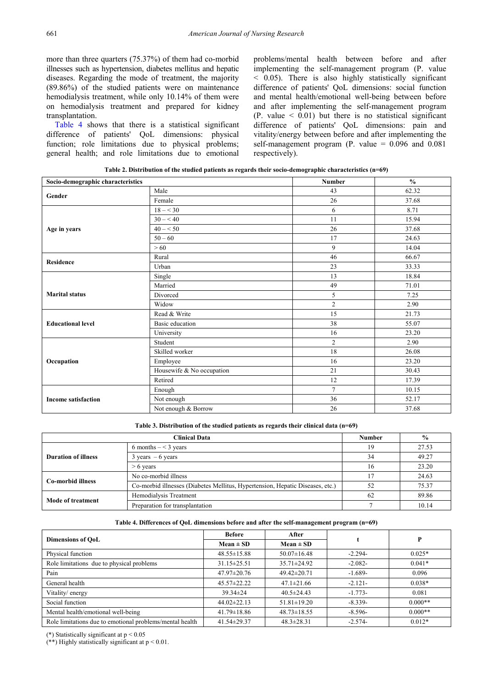more than three quarters (75.37%) of them had co-morbid illnesses such as hypertension, diabetes mellitus and hepatic diseases. Regarding the mode of treatment, the majority (89.86%) of the studied patients were on maintenance hemodialysis treatment, while only 10.14% of them were on hemodialysis treatment and prepared for kidney transplantation.

[Table 4](#page-4-2) shows that there is a statistical significant difference of patients' QoL dimensions: physical function; role limitations due to physical problems; general health; and role limitations due to emotional

problems/mental health between before and after implementing the self-management program (P. value  $<$  0.05). There is also highly statistically significant difference of patients' QoL dimensions: social function and mental health/emotional well-being between before and after implementing the self-management program  $(P. value < 0.01)$  but there is no statistical significant difference of patients' QoL dimensions: pain and vitality/energy between before and after implementing the self-management program (P. value  $= 0.096$  and  $0.081$ respectively).

**Table 2. Distribution of the studied patients as regards their socio-demographic characteristics (n=69)**

<span id="page-4-0"></span>

| Socio-demographic characteristics |                           | <b>Number</b>  | $\frac{0}{0}$ |
|-----------------------------------|---------------------------|----------------|---------------|
| Gender                            | Male                      | 43             | 62.32         |
|                                   | Female                    | 26             | 37.68         |
|                                   | $18 - 30$                 | 6              | 8.71          |
|                                   | $30 - 40$                 | 11             | 15.94         |
| Age in years                      | $40 - 50$                 | 26             | 37.68         |
|                                   | $50 - 60$                 | 17             | 24.63         |
|                                   | > 60                      | 9              | 14.04         |
| <b>Residence</b>                  | Rural                     | 46             | 66.67         |
|                                   | Urban                     | 23             | 33.33         |
|                                   | Single                    | 13             | 18.84         |
|                                   | Married                   | 49             | 71.01         |
| <b>Marital status</b>             | Divorced                  | 5              | 7.25          |
|                                   | Widow                     | $\overline{c}$ | 2.90          |
|                                   | Read & Write              | 15             | 21.73         |
| <b>Educational level</b>          | Basic education           | 38             | 55.07         |
|                                   | University                | 16             | 23.20         |
|                                   | Student                   | $\overline{c}$ | 2.90          |
|                                   | Skilled worker            | 18             | 26.08         |
| Occupation                        | Employee                  | 16             | 23.20         |
|                                   | Housewife & No occupation | 21             | 30.43         |
|                                   | Retired                   | 12             | 17.39         |
|                                   | Enough                    | $\overline{7}$ | 10.15         |
| <b>Income satisfaction</b>        | Not enough                | 36             | 52.17         |
|                                   | Not enough & Borrow       | 26             | 37.68         |

**Table 3. Distribution of the studied patients as regards their clinical data (n=69)**

<span id="page-4-1"></span>

| Clinical Data              |                                                                               | <b>Number</b> | $\frac{0}{0}$ |
|----------------------------|-------------------------------------------------------------------------------|---------------|---------------|
|                            | 6 months $-$ < 3 years                                                        | 19            | 27.53         |
| <b>Duration of illness</b> | $3 \text{ years} - 6 \text{ years}$                                           | 34            | 49.27         |
|                            | $> 6$ years                                                                   | 16            | 23.20         |
| <b>Co-morbid illness</b>   | No co-morbid illness                                                          |               | 24.63         |
|                            | Co-morbid illnesses (Diabetes Mellitus, Hypertension, Hepatic Diseases, etc.) | 52            | 75.37         |
| Mode of treatment          | Hemodialysis Treatment                                                        | 62            | 89.86         |
|                            | Preparation for transplantation                                               |               | 10.14         |

#### **Table 4. Differences of QoL dimensions before and after the self-management program (n=69)**

<span id="page-4-2"></span>

|                                                          | <b>Before</b>     | After             |           |           |
|----------------------------------------------------------|-------------------|-------------------|-----------|-----------|
| <b>Dimensions of OoL</b>                                 | $Mean \pm SD$     | $Mean \pm SD$     |           |           |
| Physical function                                        | $48.55 \pm 15.88$ | $50.07 \pm 16.48$ | $-2.294-$ | $0.025*$  |
| Role limitations due to physical problems                | $31.15 \pm 25.51$ | $35.71 \pm 24.92$ | $-2.082-$ | $0.041*$  |
| Pain                                                     | $47.97 \pm 20.76$ | 49.42±20.71       | $-1.689-$ | 0.096     |
| General health                                           | $45.57 \pm 22.22$ | $47.1 \pm 21.66$  | $-2.121-$ | $0.038*$  |
| Vitality/energy                                          | $39.34 \pm 24$    | $40.5 \pm 24.43$  | $-1.773-$ | 0.081     |
| Social function                                          | $44.02 \pm 22.13$ | $51.81 \pm 19.20$ | $-8.339-$ | $0.000**$ |
| Mental health/emotional well-being                       | $41.79 \pm 18.86$ | $48.73 \pm 18.55$ | $-8.596-$ | $0.000**$ |
| Role limitations due to emotional problems/mental health | 41.54±29.37       | $48.3 \pm 28.31$  | $-2.574-$ | $0.012*$  |

(\*) Statistically significant at  $p < 0.05$ 

(\*\*) Highly statistically significant at  $p < 0.01$ .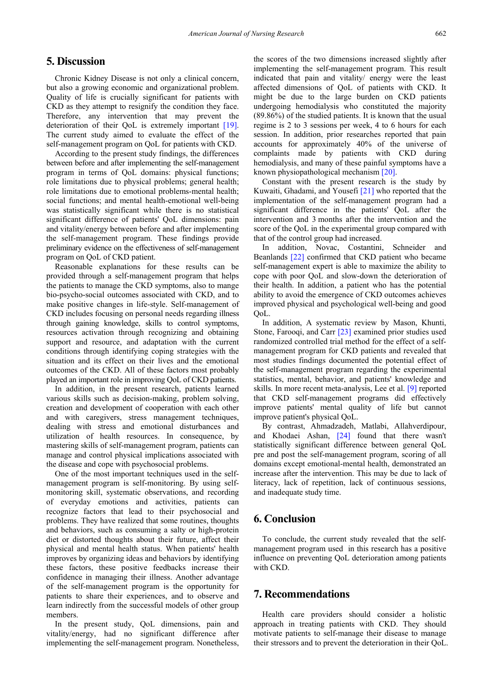# **5. Discussion**

Chronic Kidney Disease is not only a clinical concern, but also a growing economic and organizational problem. Quality of life is crucially significant for patients with CKD as they attempt to resignify the condition they face. Therefore, any intervention that may prevent the deterioration of their QoL is extremely important [\[19\].](#page-6-17) The current study aimed to evaluate the effect of the self-management program on QoL for patients with CKD.

According to the present study findings, the differences between before and after implementing the self-management program in terms of QoL domains: physical functions; role limitations due to physical problems; general health; role limitations due to emotional problems-mental health; social functions; and mental health-emotional well-being was statistically significant while there is no statistical significant difference of patients' QoL dimensions: pain and vitality/energy between before and after implementing the self-management program. These findings provide preliminary evidence on the effectiveness of self-management program on QoL of CKD patient.

Reasonable explanations for these results can be provided through a self-management program that helps the patients to manage the CKD symptoms, also to mange bio-psycho-social outcomes associated with CKD, and to make positive changes in life-style. Self-management of CKD includes focusing on personal needs regarding illness through gaining knowledge, skills to control symptoms, resources activation through recognizing and obtaining support and resource, and adaptation with the current conditions through identifying coping strategies with the situation and its effect on their lives and the emotional outcomes of the CKD. All of these factors most probably played an important role in improving QoL of CKD patients.

In addition, in the present research, patients learned various skills such as decision-making, problem solving, creation and development of cooperation with each other and with caregivers, stress management techniques, dealing with stress and emotional disturbances and utilization of health resources. In consequence, by mastering skills of self-management program, patients can manage and control physical implications associated with the disease and cope with psychosocial problems.

One of the most important techniques used in the selfmanagement program is self-monitoring. By using selfmonitoring skill, systematic observations, and recording of everyday emotions and activities, patients can recognize factors that lead to their psychosocial and problems. They have realized that some routines, thoughts and behaviors, such as consuming a salty or high-protein diet or distorted thoughts about their future, affect their physical and mental health status. When patients' health improves by organizing ideas and behaviors by identifying these factors, these positive feedbacks increase their confidence in managing their illness. Another advantage of the self-management program is the opportunity for patients to share their experiences, and to observe and learn indirectly from the successful models of other group members.

In the present study, QoL dimensions, pain and vitality/energy, had no significant difference after implementing the self-management program. Nonetheless, the scores of the two dimensions increased slightly after implementing the self-management program. This result indicated that pain and vitality/ energy were the least affected dimensions of QoL of patients with CKD. It might be due to the large burden on CKD patients undergoing hemodialysis who constituted the majority (89.86%) of the studied patients. It is known that the usual regime is 2 to 3 sessions per week, 4 to 6 hours for each session. In addition, prior researches reported that pain accounts for approximately 40% of the universe of complaints made by patients with CKD during hemodialysis, and many of these painful symptoms have a known physiopathological mechanism [\[20\].](#page-6-18)

Constant with the present research is the study by Kuwaiti, Ghadami, and Yousef[i \[21\]](#page-6-19) who reported that the implementation of the self-management program had a significant difference in the patients' QoL after the intervention and 3 months after the intervention and the score of the QoL in the experimental group compared with that of the control group had increased.

In addition, Novac, Costantini, Schneider and Beanlands [\[22\]](#page-6-20) confirmed that CKD patient who became self-management expert is able to maximize the ability to cope with poor QoL and slow-down the deterioration of their health. In addition, a patient who has the potential ability to avoid the emergence of CKD outcomes achieves improved physical and psychological well-being and good QoL.

In addition, A systematic review by Mason, Khunti, Stone, Farooqi, and Carr [\[23\]](#page-6-21) examined prior studies used randomized controlled trial method for the effect of a selfmanagement program for CKD patients and revealed that most studies findings documented the potential effect of the self-management program regarding the experimental statistics, mental, behavior, and patients' knowledge and skills. In more recent meta-analysis, Lee et al. [\[9\]](#page-6-8) reported that CKD self-management programs did effectively improve patients' mental quality of life but cannot improve patient's physical QoL.

By contrast, Ahmadzadeh, Matlabi, Allahverdipour, and Khodaei Ashan, [\[24\]](#page-6-22) found that there wasn't statistically significant difference between general QoL pre and post the self-management program, scoring of all domains except emotional-mental health, demonstrated an increase after the intervention. This may be due to lack of literacy, lack of repetition, lack of continuous sessions, and inadequate study time.

# **6. Conclusion**

To conclude, the current study revealed that the selfmanagement program used in this research has a positive influence on preventing QoL deterioration among patients with CKD.

# **7. Recommendations**

Health care providers should consider a holistic approach in treating patients with CKD. They should motivate patients to self-manage their disease to manage their stressors and to prevent the deterioration in their QoL.